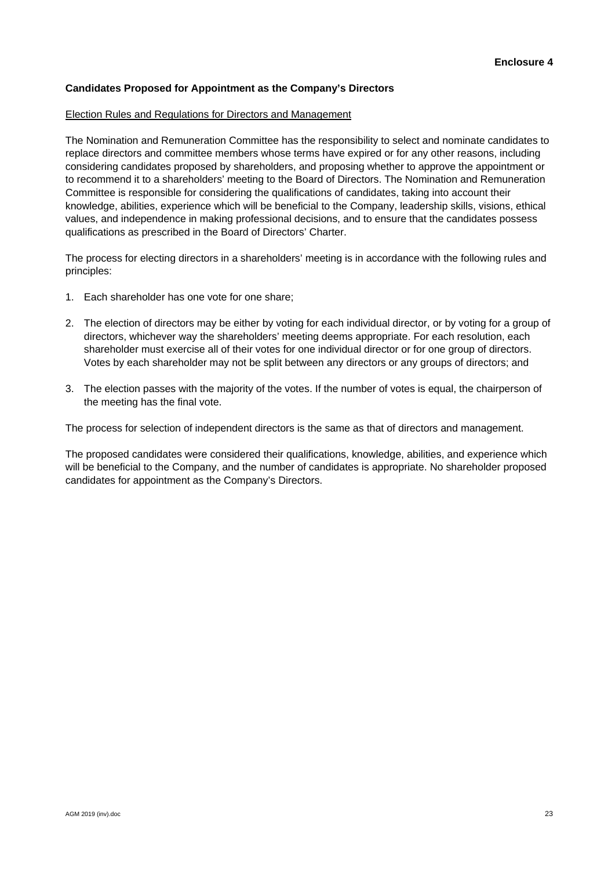#### **Candidates Proposed for Appointment as the Company's Directors**

#### Election Rules and Regulations for Directors and Management

The Nomination and Remuneration Committee has the responsibility to select and nominate candidates to replace directors and committee members whose terms have expired or for any other reasons, including considering candidates proposed by shareholders, and proposing whether to approve the appointment or to recommend it to a shareholders' meeting to the Board of Directors. The Nomination and Remuneration Committee is responsible for considering the qualifications of candidates, taking into account their knowledge, abilities, experience which will be beneficial to the Company, leadership skills, visions, ethical values, and independence in making professional decisions, and to ensure that the candidates possess qualifications as prescribed in the Board of Directors' Charter.

The process for electing directors in a shareholders' meeting is in accordance with the following rules and principles:

- 1. Each shareholder has one vote for one share;
- 2. The election of directors may be either by voting for each individual director, or by voting for a group of directors, whichever way the shareholders' meeting deems appropriate. For each resolution, each shareholder must exercise all of their votes for one individual director or for one group of directors. Votes by each shareholder may not be split between any directors or any groups of directors; and
- 3. The election passes with the majority of the votes. If the number of votes is equal, the chairperson of the meeting has the final vote.

The process for selection of independent directors is the same as that of directors and management.

The proposed candidates were considered their qualifications, knowledge, abilities, and experience which will be beneficial to the Company, and the number of candidates is appropriate. No shareholder proposed candidates for appointment as the Company's Directors.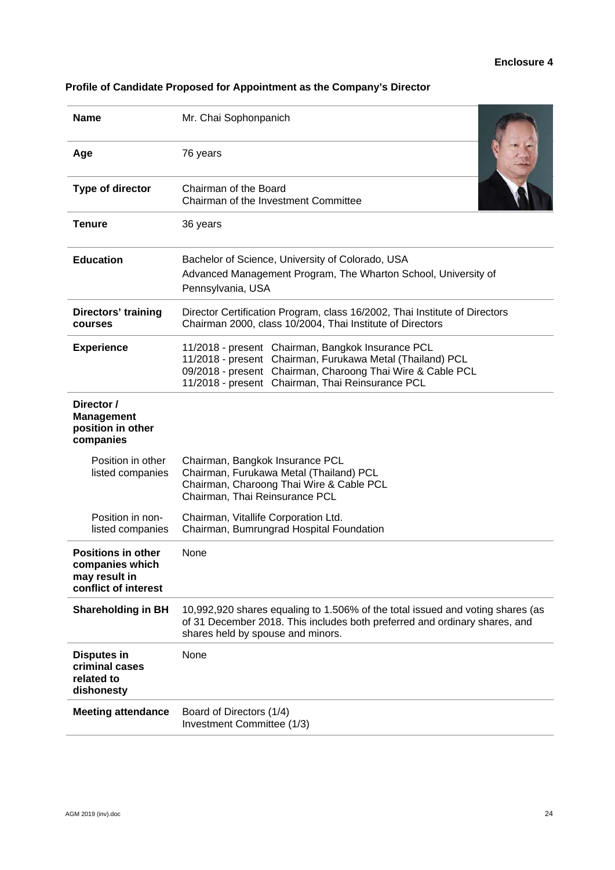### **Enclosure 4**

| <b>Name</b>                                                                           | Mr. Chai Sophonpanich                                                                                                                                                                                                            |  |  |  |
|---------------------------------------------------------------------------------------|----------------------------------------------------------------------------------------------------------------------------------------------------------------------------------------------------------------------------------|--|--|--|
| Age                                                                                   | 76 years                                                                                                                                                                                                                         |  |  |  |
| Type of director                                                                      | Chairman of the Board<br>Chairman of the Investment Committee                                                                                                                                                                    |  |  |  |
| <b>Tenure</b>                                                                         | 36 years                                                                                                                                                                                                                         |  |  |  |
| <b>Education</b>                                                                      | Bachelor of Science, University of Colorado, USA<br>Advanced Management Program, The Wharton School, University of<br>Pennsylvania, USA                                                                                          |  |  |  |
| Directors' training<br>courses                                                        | Director Certification Program, class 16/2002, Thai Institute of Directors<br>Chairman 2000, class 10/2004, Thai Institute of Directors                                                                                          |  |  |  |
| <b>Experience</b>                                                                     | 11/2018 - present Chairman, Bangkok Insurance PCL<br>11/2018 - present Chairman, Furukawa Metal (Thailand) PCL<br>09/2018 - present Chairman, Charoong Thai Wire & Cable PCL<br>11/2018 - present Chairman, Thai Reinsurance PCL |  |  |  |
| Director /<br><b>Management</b><br>position in other<br>companies                     |                                                                                                                                                                                                                                  |  |  |  |
| Position in other<br>listed companies                                                 | Chairman, Bangkok Insurance PCL<br>Chairman, Furukawa Metal (Thailand) PCL<br>Chairman, Charoong Thai Wire & Cable PCL<br>Chairman, Thai Reinsurance PCL                                                                         |  |  |  |
| Position in non-<br>listed companies                                                  | Chairman, Vitallife Corporation Ltd.<br>Chairman, Bumrungrad Hospital Foundation                                                                                                                                                 |  |  |  |
| <b>Positions in other</b><br>companies which<br>may result in<br>conflict of interest | None                                                                                                                                                                                                                             |  |  |  |
| <b>Shareholding in BH</b>                                                             | 10,992,920 shares equaling to 1.506% of the total issued and voting shares (as<br>of 31 December 2018. This includes both preferred and ordinary shares, and<br>shares held by spouse and minors.                                |  |  |  |
| <b>Disputes in</b><br>criminal cases<br>related to<br>dishonesty                      | None                                                                                                                                                                                                                             |  |  |  |
| <b>Meeting attendance</b>                                                             | Board of Directors (1/4)<br>Investment Committee (1/3)                                                                                                                                                                           |  |  |  |

# **Profile of Candidate Proposed for Appointment as the Company's Director**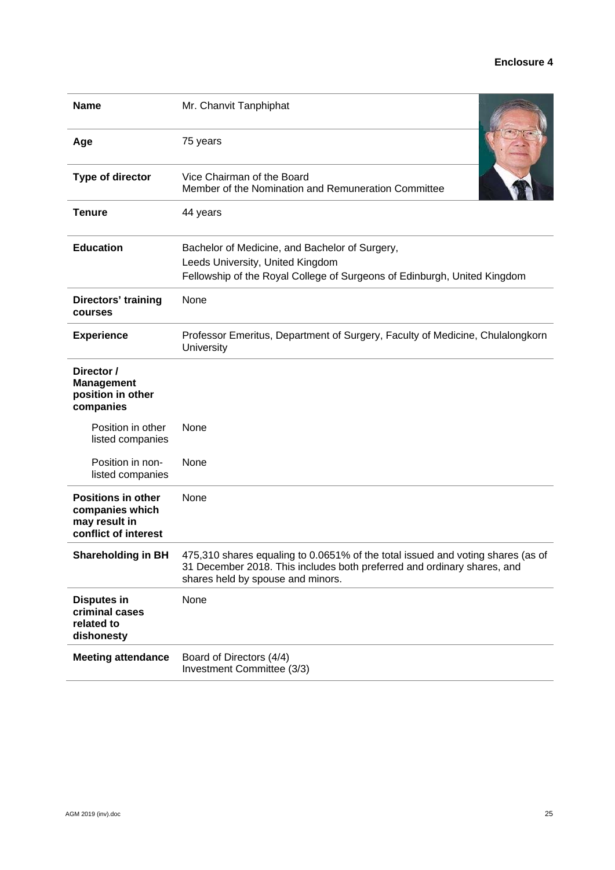### **Enclosure 4**

| <b>Name</b>                                                                           | Mr. Chanvit Tanphiphat                                                                                                                                                                          |  |  |  |
|---------------------------------------------------------------------------------------|-------------------------------------------------------------------------------------------------------------------------------------------------------------------------------------------------|--|--|--|
| Age                                                                                   | 75 years                                                                                                                                                                                        |  |  |  |
| <b>Type of director</b>                                                               | Vice Chairman of the Board<br>Member of the Nomination and Remuneration Committee                                                                                                               |  |  |  |
| <b>Tenure</b>                                                                         | 44 years                                                                                                                                                                                        |  |  |  |
| <b>Education</b>                                                                      | Bachelor of Medicine, and Bachelor of Surgery,<br>Leeds University, United Kingdom<br>Fellowship of the Royal College of Surgeons of Edinburgh, United Kingdom                                  |  |  |  |
| Directors' training<br>courses                                                        | None                                                                                                                                                                                            |  |  |  |
| <b>Experience</b>                                                                     | Professor Emeritus, Department of Surgery, Faculty of Medicine, Chulalongkorn<br>University                                                                                                     |  |  |  |
| Director /<br><b>Management</b><br>position in other<br>companies                     |                                                                                                                                                                                                 |  |  |  |
| Position in other<br>listed companies                                                 | None                                                                                                                                                                                            |  |  |  |
| Position in non-<br>listed companies                                                  | None                                                                                                                                                                                            |  |  |  |
| <b>Positions in other</b><br>companies which<br>may result in<br>conflict of interest | None                                                                                                                                                                                            |  |  |  |
| <b>Shareholding in BH</b>                                                             | 475,310 shares equaling to 0.0651% of the total issued and voting shares (as of<br>31 December 2018. This includes both preferred and ordinary shares, and<br>shares held by spouse and minors. |  |  |  |
| <b>Disputes in</b><br>criminal cases<br>related to<br>dishonesty                      | None                                                                                                                                                                                            |  |  |  |
| <b>Meeting attendance</b>                                                             | Board of Directors (4/4)<br>Investment Committee (3/3)                                                                                                                                          |  |  |  |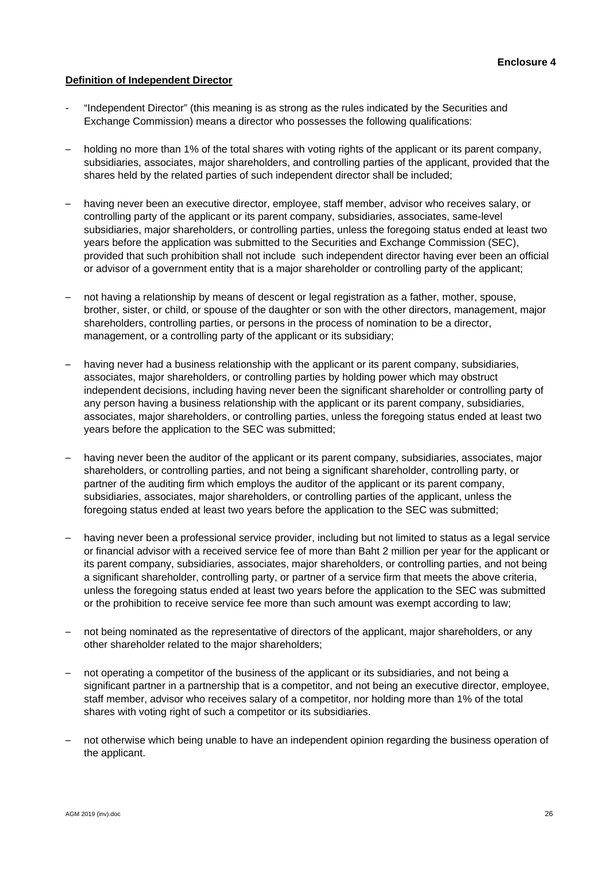### **Definition of Independent Director**

- "Independent Director" (this meaning is as strong as the rules indicated by the Securities and Exchange Commission) means a director who possesses the following qualifications:
- holding no more than 1% of the total shares with voting rights of the applicant or its parent company, subsidiaries, associates, major shareholders, and controlling parties of the applicant, provided that the shares held by the related parties of such independent director shall be included;
- having never been an executive director, employee, staff member, advisor who receives salary, or controlling party of the applicant or its parent company, subsidiaries, associates, same-level subsidiaries, major shareholders, or controlling parties, unless the foregoing status ended at least two years before the application was submitted to the Securities and Exchange Commission (SEC), provided that such prohibition shall not include such independent director having ever been an official or advisor of a government entity that is a major shareholder or controlling party of the applicant;
- not having a relationship by means of descent or legal registration as a father, mother, spouse, brother, sister, or child, or spouse of the daughter or son with the other directors, management, major shareholders, controlling parties, or persons in the process of nomination to be a director, management, or a controlling party of the applicant or its subsidiary;
- having never had a business relationship with the applicant or its parent company, subsidiaries, associates, major shareholders, or controlling parties by holding power which may obstruct independent decisions, including having never been the significant shareholder or controlling party of any person having a business relationship with the applicant or its parent company, subsidiaries, associates, major shareholders, or controlling parties, unless the foregoing status ended at least two years before the application to the SEC was submitted;
- having never been the auditor of the applicant or its parent company, subsidiaries, associates, major shareholders, or controlling parties, and not being a significant shareholder, controlling party, or partner of the auditing firm which employs the auditor of the applicant or its parent company, subsidiaries, associates, major shareholders, or controlling parties of the applicant, unless the foregoing status ended at least two years before the application to the SEC was submitted;
- having never been a professional service provider, including but not limited to status as a legal service or financial advisor with a received service fee of more than Baht 2 million per year for the applicant or its parent company, subsidiaries, associates, major shareholders, or controlling parties, and not being a significant shareholder, controlling party, or partner of a service firm that meets the above criteria, unless the foregoing status ended at least two years before the application to the SEC was submitted or the prohibition to receive service fee more than such amount was exempt according to law;
- not being nominated as the representative of directors of the applicant, major shareholders, or any other shareholder related to the major shareholders;
- not operating a competitor of the business of the applicant or its subsidiaries, and not being a significant partner in a partnership that is a competitor, and not being an executive director, employee, staff member, advisor who receives salary of a competitor, nor holding more than 1% of the total shares with voting right of such a competitor or its subsidiaries.
- not otherwise which being unable to have an independent opinion regarding the business operation of the applicant.